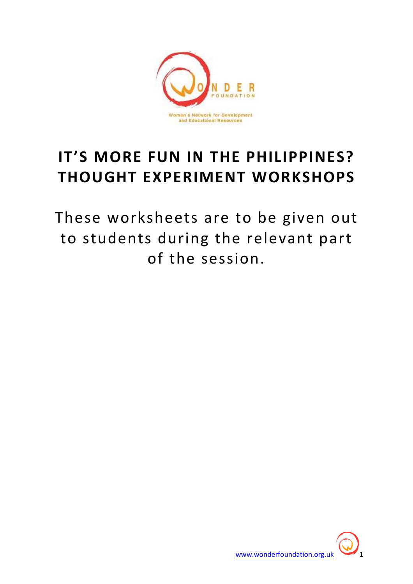

# IT'S MORE FUN IN THE PHILIPPINES? THOUGHT EXPERIMENT WORKSHOPS

These worksheets are to be given out to students during the relevant part of the session.

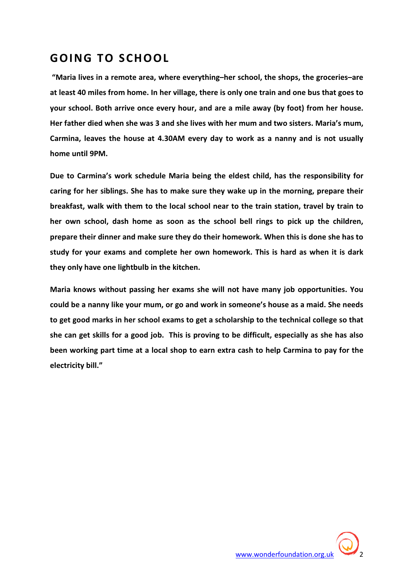### GOING TO SCHOOL

 "Maria lives in a remote area, where everything–her school, the shops, the groceries–are at least 40 miles from home. In her village, there is only one train and one bus that goes to your school. Both arrive once every hour, and are a mile away (by foot) from her house. Her father died when she was 3 and she lives with her mum and two sisters. Maria's mum, Carmina, leaves the house at 4.30AM every day to work as a nanny and is not usually home until 9PM.

Due to Carmina's work schedule Maria being the eldest child, has the responsibility for caring for her siblings. She has to make sure they wake up in the morning, prepare their breakfast, walk with them to the local school near to the train station, travel by train to her own school, dash home as soon as the school bell rings to pick up the children, prepare their dinner and make sure they do their homework. When this is done she has to study for your exams and complete her own homework. This is hard as when it is dark they only have one lightbulb in the kitchen.

Maria knows without passing her exams she will not have many job opportunities. You could be a nanny like your mum, or go and work in someone's house as a maid. She needs to get good marks in her school exams to get a scholarship to the technical college so that she can get skills for a good job. This is proving to be difficult, especially as she has also been working part time at a local shop to earn extra cash to help Carmina to pay for the electricity bill."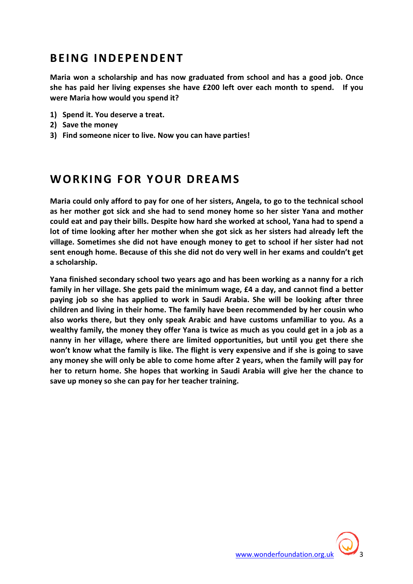#### BEING INDEPENDENT

Maria won a scholarship and has now graduated from school and has a good job. Once she has paid her living expenses she have £200 left over each month to spend. If you were Maria how would you spend it?

- 1) Spend it. You deserve a treat.
- 2) Save the money
- 3) Find someone nicer to live. Now you can have parties!

#### WORKING FOR YOUR DREAMS

Maria could only afford to pay for one of her sisters, Angela, to go to the technical school as her mother got sick and she had to send money home so her sister Yana and mother could eat and pay their bills. Despite how hard she worked at school, Yana had to spend a lot of time looking after her mother when she got sick as her sisters had already left the village. Sometimes she did not have enough money to get to school if her sister had not sent enough home. Because of this she did not do very well in her exams and couldn't get a scholarship.

Yana finished secondary school two years ago and has been working as a nanny for a rich family in her village. She gets paid the minimum wage, £4 a day, and cannot find a better paying job so she has applied to work in Saudi Arabia. She will be looking after three children and living in their home. The family have been recommended by her cousin who also works there, but they only speak Arabic and have customs unfamiliar to you. As a wealthy family, the money they offer Yana is twice as much as you could get in a job as a nanny in her village, where there are limited opportunities, but until you get there she won't know what the family is like. The flight is very expensive and if she is going to save any money she will only be able to come home after 2 years, when the family will pay for her to return home. She hopes that working in Saudi Arabia will give her the chance to save up money so she can pay for her teacher training.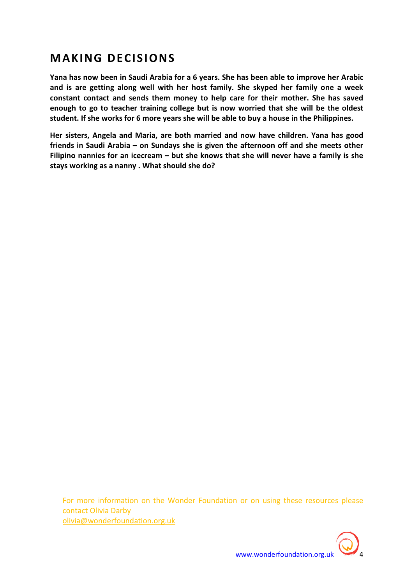## **MAKING DECISIONS**

Yana has now been in Saudi Arabia for a 6 years. She has been able to improve her Arabic and is are getting along well with her host family. She skyped her family one a week constant contact and sends them money to help care for their mother. She has saved enough to go to teacher training college but is now worried that she will be the oldest student. If she works for 6 more years she will be able to buy a house in the Philippines.

Her sisters, Angela and Maria, are both married and now have children. Yana has good friends in Saudi Arabia – on Sundays she is given the afternoon off and she meets other Filipino nannies for an icecream – but she knows that she will never have a family is she stays working as a nanny . What should she do?

For more information on the Wonder Foundation or on using these resources please contact Olivia Darby olivia@wonderfoundation.org.uk